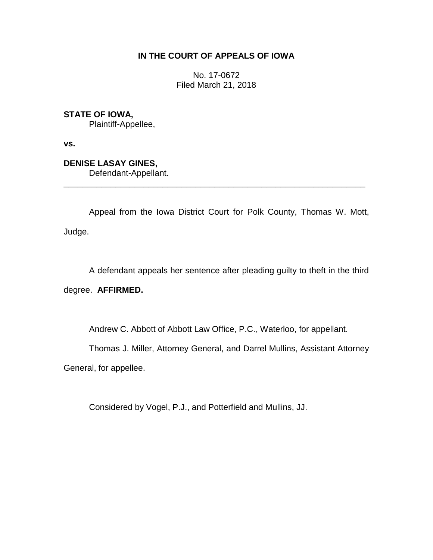# **IN THE COURT OF APPEALS OF IOWA**

No. 17-0672 Filed March 21, 2018

**STATE OF IOWA,**

Plaintiff-Appellee,

**vs.**

**DENISE LASAY GINES,**

Defendant-Appellant.

Appeal from the Iowa District Court for Polk County, Thomas W. Mott, Judge.

\_\_\_\_\_\_\_\_\_\_\_\_\_\_\_\_\_\_\_\_\_\_\_\_\_\_\_\_\_\_\_\_\_\_\_\_\_\_\_\_\_\_\_\_\_\_\_\_\_\_\_\_\_\_\_\_\_\_\_\_\_\_\_\_

A defendant appeals her sentence after pleading guilty to theft in the third

degree. **AFFIRMED.**

Andrew C. Abbott of Abbott Law Office, P.C., Waterloo, for appellant.

Thomas J. Miller, Attorney General, and Darrel Mullins, Assistant Attorney

General, for appellee.

Considered by Vogel, P.J., and Potterfield and Mullins, JJ.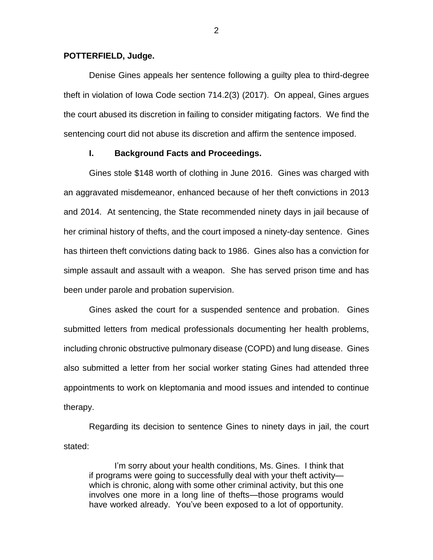#### **POTTERFIELD, Judge.**

Denise Gines appeals her sentence following a guilty plea to third-degree theft in violation of Iowa Code section 714.2(3) (2017). On appeal, Gines argues the court abused its discretion in failing to consider mitigating factors. We find the sentencing court did not abuse its discretion and affirm the sentence imposed.

#### **I. Background Facts and Proceedings.**

Gines stole \$148 worth of clothing in June 2016. Gines was charged with an aggravated misdemeanor, enhanced because of her theft convictions in 2013 and 2014. At sentencing, the State recommended ninety days in jail because of her criminal history of thefts, and the court imposed a ninety-day sentence. Gines has thirteen theft convictions dating back to 1986. Gines also has a conviction for simple assault and assault with a weapon. She has served prison time and has been under parole and probation supervision.

Gines asked the court for a suspended sentence and probation. Gines submitted letters from medical professionals documenting her health problems, including chronic obstructive pulmonary disease (COPD) and lung disease. Gines also submitted a letter from her social worker stating Gines had attended three appointments to work on kleptomania and mood issues and intended to continue therapy.

Regarding its decision to sentence Gines to ninety days in jail, the court stated:

I'm sorry about your health conditions, Ms. Gines. I think that if programs were going to successfully deal with your theft activity which is chronic, along with some other criminal activity, but this one involves one more in a long line of thefts—those programs would have worked already. You've been exposed to a lot of opportunity.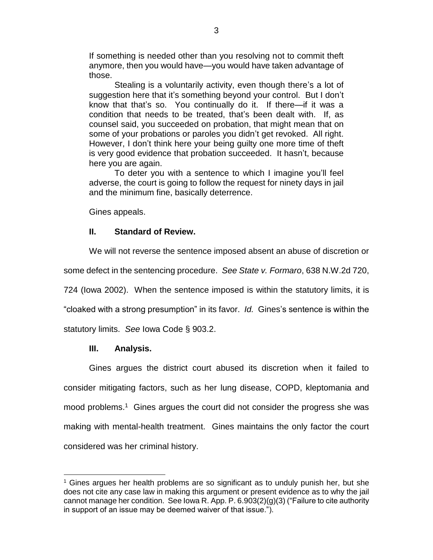If something is needed other than you resolving not to commit theft anymore, then you would have—you would have taken advantage of those.

Stealing is a voluntarily activity, even though there's a lot of suggestion here that it's something beyond your control. But I don't know that that's so. You continually do it. If there—if it was a condition that needs to be treated, that's been dealt with. If, as counsel said, you succeeded on probation, that might mean that on some of your probations or paroles you didn't get revoked. All right. However, I don't think here your being guilty one more time of theft is very good evidence that probation succeeded. It hasn't, because here you are again.

To deter you with a sentence to which I imagine you'll feel adverse, the court is going to follow the request for ninety days in jail and the minimum fine, basically deterrence.

Gines appeals.

# **II. Standard of Review.**

We will not reverse the sentence imposed absent an abuse of discretion or

some defect in the sentencing procedure. *See State v. Formaro*, 638 N.W.2d 720,

724 (Iowa 2002). When the sentence imposed is within the statutory limits, it is

"cloaked with a strong presumption" in its favor. *Id.* Gines's sentence is within the

statutory limits. *See* Iowa Code § 903.2.

### **III. Analysis.**

 $\overline{a}$ 

Gines argues the district court abused its discretion when it failed to consider mitigating factors, such as her lung disease, COPD, kleptomania and mood problems.<sup>1</sup> Gines argues the court did not consider the progress she was making with mental-health treatment. Gines maintains the only factor the court considered was her criminal history.

 $<sup>1</sup>$  Gines argues her health problems are so significant as to unduly punish her, but she</sup> does not cite any case law in making this argument or present evidence as to why the jail cannot manage her condition. See Iowa R. App. P. 6.903(2)(g)(3) ("Failure to cite authority in support of an issue may be deemed waiver of that issue.").